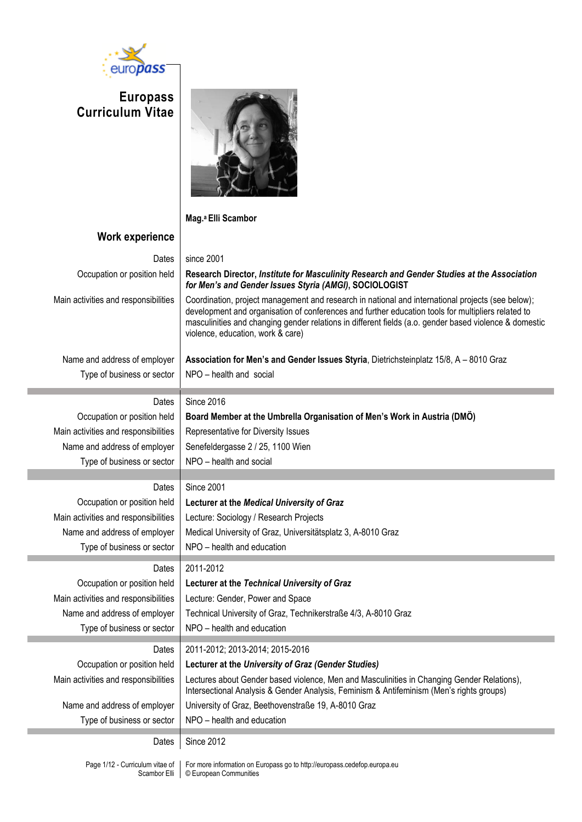

# **Europass Curriculum Vitae**



**Mag.a Elli Scambor**

# **Work experience**

# Dates | since 2001 Occupation or position held **Research Director,** *Institute for Masculinity Research and Gender Studies at the Association for Men's and Gender Issues Styria (AMGI)***, SOCIOLOGIST**  Main activities and responsibilities | Coordination, project management and research in national and international projects (see below); development and organisation of conferences and further education tools for multipliers related to masculinities and changing gender relations in different fields (a.o. gender based violence & domestic violence, education, work & care) Name and address of employer **Association for Men's and Gender Issues Styria**, Dietrichsteinplatz 15/8, A – 8010 Graz Type of business or sector  $\parallel$  NPO – health and social Dates  $\vert$  Since 2016 Occupation or position held **Board Member at the Umbrella Organisation of Men's Work in Austria (DMÖ)** Main activities and responsibilities  $\parallel$  Representative for Diversity Issues Name and address of employer  $\vert$  Senefeldergasse 2 / 25, 1100 Wien Type of business or sector  $\parallel$  NPO – health and social Dates Since 2001 Occupation or position held **Lecturer at the** *Medical University of Graz* Main activities and responsibilities | Lecture: Sociology / Research Projects Name and address of employer | Medical University of Graz, Universitätsplatz 3, A-8010 Graz Type of business or sector  $\parallel$  NPO – health and education Dates 2011-2012 Occupation or position held **Lecturer at the** *Technical University of Graz* Main activities and responsibilities | Lecture: Gender, Power and Space Name and address of employer | Technical University of Graz, Technikerstraße 4/3, A-8010 Graz Type of business or sector  $\parallel$  NPO – health and education Dates 2011-2012; 2013-2014; 2015-2016 Occupation or position held **Lecturer at the** *University of Graz (Gender Studies)* Main activities and responsibilities | Lectures about Gender based violence, Men and Masculinities in Changing Gender Relations), Intersectional Analysis & Gender Analysis, Feminism & Antifeminism (Men's rights groups) Name and address of employer | University of Graz, Beethovenstraße 19, A-8010 Graz Type of business or sector  $\parallel$  NPO – health and education Dates | Since 2012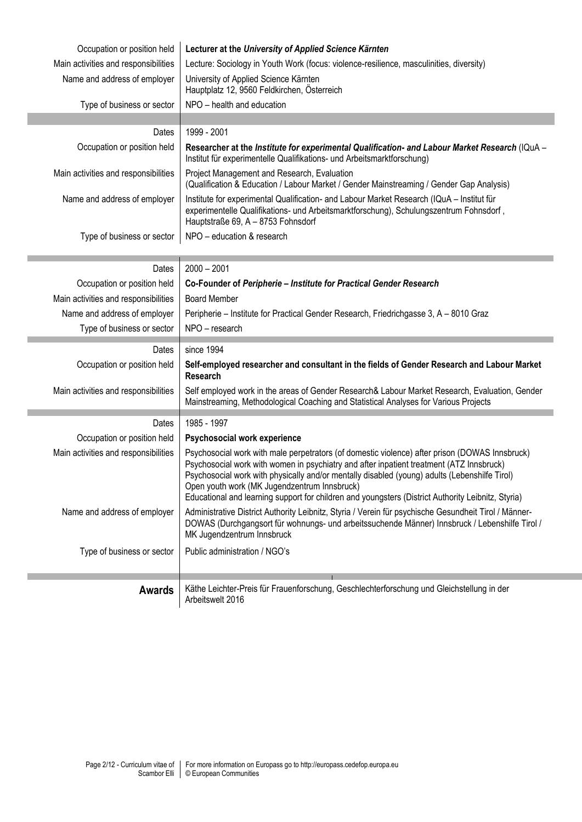| Occupation or position held          | Lecturer at the University of Applied Science Kärnten                                                                                                                                                                                                                                                                                                                                                                                             |
|--------------------------------------|---------------------------------------------------------------------------------------------------------------------------------------------------------------------------------------------------------------------------------------------------------------------------------------------------------------------------------------------------------------------------------------------------------------------------------------------------|
| Main activities and responsibilities | Lecture: Sociology in Youth Work (focus: violence-resilience, masculinities, diversity)                                                                                                                                                                                                                                                                                                                                                           |
| Name and address of employer         | University of Applied Science Kärnten<br>Hauptplatz 12, 9560 Feldkirchen, Österreich                                                                                                                                                                                                                                                                                                                                                              |
| Type of business or sector           | NPO - health and education                                                                                                                                                                                                                                                                                                                                                                                                                        |
|                                      |                                                                                                                                                                                                                                                                                                                                                                                                                                                   |
| Dates                                | 1999 - 2001                                                                                                                                                                                                                                                                                                                                                                                                                                       |
| Occupation or position held          | Researcher at the Institute for experimental Qualification- and Labour Market Research (IQuA -<br>Institut für experimentelle Qualifikations- und Arbeitsmarktforschung)                                                                                                                                                                                                                                                                          |
| Main activities and responsibilities | Project Management and Research, Evaluation<br>(Qualification & Education / Labour Market / Gender Mainstreaming / Gender Gap Analysis)                                                                                                                                                                                                                                                                                                           |
| Name and address of employer         | Institute for experimental Qualification- and Labour Market Research (IQuA - Institut für<br>experimentelle Qualifikations- und Arbeitsmarktforschung), Schulungszentrum Fohnsdorf,<br>Hauptstraße 69, A - 8753 Fohnsdorf                                                                                                                                                                                                                         |
| Type of business or sector           | NPO - education & research                                                                                                                                                                                                                                                                                                                                                                                                                        |
| Dates                                | $2000 - 2001$                                                                                                                                                                                                                                                                                                                                                                                                                                     |
| Occupation or position held          | Co-Founder of Peripherie - Institute for Practical Gender Research                                                                                                                                                                                                                                                                                                                                                                                |
| Main activities and responsibilities | <b>Board Member</b>                                                                                                                                                                                                                                                                                                                                                                                                                               |
| Name and address of employer         | Peripherie – Institute for Practical Gender Research, Friedrichgasse 3, A - 8010 Graz                                                                                                                                                                                                                                                                                                                                                             |
| Type of business or sector           | NPO - research                                                                                                                                                                                                                                                                                                                                                                                                                                    |
| Dates                                | since 1994                                                                                                                                                                                                                                                                                                                                                                                                                                        |
| Occupation or position held          | Self-employed researcher and consultant in the fields of Gender Research and Labour Market<br><b>Research</b>                                                                                                                                                                                                                                                                                                                                     |
| Main activities and responsibilities | Self employed work in the areas of Gender Research& Labour Market Research, Evaluation, Gender<br>Mainstreaming, Methodological Coaching and Statistical Analyses for Various Projects                                                                                                                                                                                                                                                            |
| Dates                                | 1985 - 1997                                                                                                                                                                                                                                                                                                                                                                                                                                       |
| Occupation or position held          | Psychosocial work experience                                                                                                                                                                                                                                                                                                                                                                                                                      |
| Main activities and responsibilities | Psychosocial work with male perpetrators (of domestic violence) after prison (DOWAS Innsbruck)<br>Psychosocial work with women in psychiatry and after inpatient treatment (ATZ Innsbruck)<br>Psychosocial work with physically and/or mentally disabled (young) adults (Lebenshilfe Tirol)<br>Open youth work (MK Jugendzentrum Innsbruck)<br>Educational and learning support for children and youngsters (District Authority Leibnitz, Styria) |
| Name and address of employer         | Administrative District Authority Leibnitz, Styria / Verein für psychische Gesundheit Tirol / Männer-<br>DOWAS (Durchgangsort für wohnungs- und arbeitssuchende Männer) Innsbruck / Lebenshilfe Tirol /<br>MK Jugendzentrum Innsbruck                                                                                                                                                                                                             |
| Type of business or sector           | Public administration / NGO's                                                                                                                                                                                                                                                                                                                                                                                                                     |
|                                      |                                                                                                                                                                                                                                                                                                                                                                                                                                                   |
| <b>Awards</b>                        | Käthe Leichter-Preis für Frauenforschung, Geschlechterforschung und Gleichstellung in der<br>Arbeitswelt 2016                                                                                                                                                                                                                                                                                                                                     |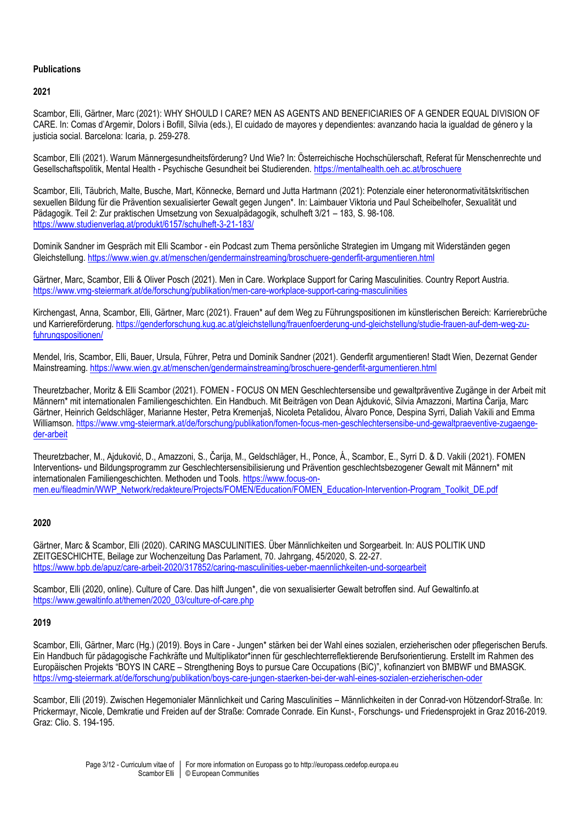# **Publications**

# **2021**

Scambor, Elli, Gärtner, Marc (2021): WHY SHOULD I CARE? MEN AS AGENTS AND BENEFICIARIES OF A GENDER EQUAL DIVISION OF CARE. In: Comas d'Argemir, Dolors i Bofill, Sílvia (eds.), El cuidado de mayores y dependientes: avanzando hacia la igualdad de género y la justicia social. Barcelona: Icaria, p. 259-278.

Scambor, Elli (2021). Warum Männergesundheitsförderung? Und Wie? In: Österreichische Hochschülerschaft, Referat für Menschenrechte und Gesellschaftspolitik, Mental Health - Psychische Gesundheit bei Studierenden. <https://mentalhealth.oeh.ac.at/broschuere>

Scambor, Elli, Täubrich, Malte, Busche, Mart, Könnecke, Bernard und Jutta Hartmann (2021): Potenziale einer heteronormativitätskritischen sexuellen Bildung für die Prävention sexualisierter Gewalt gegen Jungen\*. In: Laimbauer Viktoria und Paul Scheibelhofer, Sexualität und Pädagogik. Teil 2: Zur praktischen Umsetzung von Sexualpädagogik, schulheft 3/21 – 183, S. 98-108. <https://www.studienverlag.at/produkt/6157/schulheft-3-21-183/>

Dominik Sandner im Gespräch mit Elli Scambor - ein Podcast zum Thema persönliche Strategien im Umgang mit Widerständen gegen Gleichstellung. <https://www.wien.gv.at/menschen/gendermainstreaming/broschuere-genderfit-argumentieren.html>

Gärtner, Marc, Scambor, Elli & Oliver Posch (2021). Men in Care. Workplace Support for Caring Masculinities. Country Report Austria. <https://www.vmg-steiermark.at/de/forschung/publikation/men-care-workplace-support-caring-masculinities>

Kirchengast, Anna, Scambor, Elli, Gärtner, Marc (2021). Frauen\* auf dem Weg zu Führungspositionen im künstlerischen Bereich: Karrierebrüche und Karriereförderung. [https://genderforschung.kug.ac.at/gleichstellung/frauenfoerderung-und-gleichstellung/studie-frauen-auf-dem-weg-zu](https://genderforschung.kug.ac.at/gleichstellung/frauenfoerderung-und-gleichstellung/studie-frauen-auf-dem-weg-zu-fuhrungspositionen/)[fuhrungspositionen/](https://genderforschung.kug.ac.at/gleichstellung/frauenfoerderung-und-gleichstellung/studie-frauen-auf-dem-weg-zu-fuhrungspositionen/)

Mendel, Iris, Scambor, Elli, Bauer, Ursula, Führer, Petra und Dominik Sandner (2021). Genderfit argumentieren! Stadt Wien, Dezernat Gender Mainstreaming.<https://www.wien.gv.at/menschen/gendermainstreaming/broschuere-genderfit-argumentieren.html>

Theuretzbacher, Moritz & Elli Scambor (2021). FOMEN - FOCUS ON MEN Geschlechtersensibe und gewaltpräventive Zugänge in der Arbeit mit Männern\* mit internationalen Familiengeschichten. Ein Handbuch. Mit Beiträgen von Dean Ajduković, Silvia Amazzoni, Martina Čarija, Marc Gärtner, Heinrich Geldschläger, Marianne Hester, Petra Kremenjaš, Nicoleta Petalidou, Álvaro Ponce, Despina Syrri, Daliah Vakili and Emma Williamson. [https://www.vmg-steiermark.at/de/forschung/publikation/fomen-focus-men-geschlechtersensibe-und-gewaltpraeventive-zugaenge](https://www.vmg-steiermark.at/de/forschung/publikation/fomen-focus-men-geschlechtersensibe-und-gewaltpraeventive-zugaenge-der-arbeit)[der-arbeit](https://www.vmg-steiermark.at/de/forschung/publikation/fomen-focus-men-geschlechtersensibe-und-gewaltpraeventive-zugaenge-der-arbeit)

Theuretzbacher, M., Ajduković, D., Amazzoni, S., Čarija, M., Geldschläger, H., Ponce, Á., Scambor, E., Syrri D. & D. Vakili (2021). FOMEN Interventions- und Bildungsprogramm zur Geschlechtersensibilisierung und Prävention geschlechtsbezogener Gewalt mit Männern\* mit internationalen Familiengeschichten. Methoden und Tools[. https://www.focus-on](https://www.focus-on-men.eu/fileadmin/WWP_Network/redakteure/Projects/FOMEN/Education/FOMEN_Education-Intervention-Program_Toolkit_DE.pdf)[men.eu/fileadmin/WWP\\_Network/redakteure/Projects/FOMEN/Education/FOMEN\\_Education-Intervention-Program\\_Toolkit\\_DE.pdf](https://www.focus-on-men.eu/fileadmin/WWP_Network/redakteure/Projects/FOMEN/Education/FOMEN_Education-Intervention-Program_Toolkit_DE.pdf)

# **2020**

Gärtner, Marc & Scambor, Elli (2020). CARING MASCULINITIES. Über Männlichkeiten und Sorgearbeit. In: AUS POLITIK UND ZEITGESCHICHTE, Beilage zur Wochenzeitung Das Parlament, 70. Jahrgang, 45/2020, S. 22-27. <https://www.bpb.de/apuz/care-arbeit-2020/317852/caring-masculinities-ueber-maennlichkeiten-und-sorgearbeit>

Scambor, Elli (2020, online). Culture of Care. Das hilft Jungen\*, die von sexualisierter Gewalt betroffen sind. Auf Gewaltinfo.at [https://www.gewaltinfo.at/themen/2020\\_03/culture-of-care.php](https://www.gewaltinfo.at/themen/2020_03/culture-of-care.php)

#### **2019**

Scambor, Elli, Gärtner, Marc (Hg.) (2019). Boys in Care - Jungen\* stärken bei der Wahl eines sozialen, erzieherischen oder pflegerischen Berufs. Ein Handbuch für pädagogische Fachkräfte und Multiplikator\*innen für geschlechterreflektierende Berufsorientierung. Erstellt im Rahmen des Europäischen Projekts "BOYS IN CARE – Strengthening Boys to pursue Care Occupations (BiC)", kofinanziert von BMBWF und BMASGK. <https://vmg-steiermark.at/de/forschung/publikation/boys-care-jungen-staerken-bei-der-wahl-eines-sozialen-erzieherischen-oder>

Scambor, Elli (2019). Zwischen Hegemonialer Männlichkeit und Caring Masculinities – Männlichkeiten in der Conrad-von Hötzendorf-Straße. In: Prickermayr, Nicole, Demkratie und Freiden auf der Straße: Comrade Conrade. Ein Kunst-, Forschungs- und Friedensprojekt in Graz 2016-2019. Graz: Clio. S. 194-195.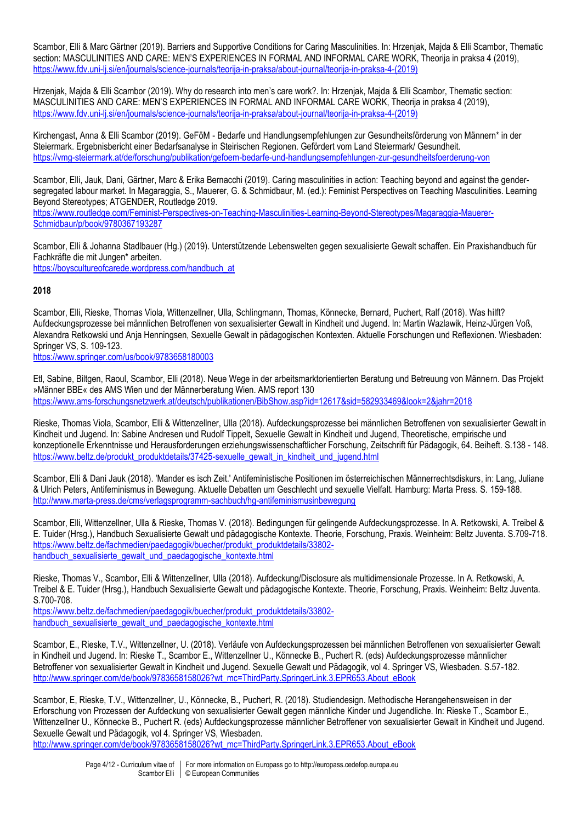Scambor, Elli & Marc Gärtner (2019). Barriers and Supportive Conditions for Caring Masculinities. In: Hrzenjak, Majda & Elli Scambor, Thematic section: MASCULINITIES AND CARE: MEN'S EXPERIENCES IN FORMAL AND INFORMAL CARE WORK, Theorija in praksa 4 (2019), [https://www.fdv.uni-lj.si/en/journals/science-journals/teorija-in-praksa/about-journal/teorija-in-praksa-4-\(2019\)](https://www.fdv.uni-lj.si/en/journals/science-journals/teorija-in-praksa/about-journal/teorija-in-praksa-4-(2019))

Hrzenjak, Majda & Elli Scambor (2019). Why do research into men's care work?. In: Hrzenjak, Majda & Elli Scambor, Thematic section: MASCULINITIES AND CARE: MEN'S EXPERIENCES IN FORMAL AND INFORMAL CARE WORK, Theorija in praksa 4 (2019), [https://www.fdv.uni-lj.si/en/journals/science-journals/teorija-in-praksa/about-journal/teorija-in-praksa-4-\(2019\)](https://www.fdv.uni-lj.si/en/journals/science-journals/teorija-in-praksa/about-journal/teorija-in-praksa-4-(2019))

Kirchengast, Anna & Elli Scambor (2019). GeFöM - Bedarfe und Handlungsempfehlungen zur Gesundheitsförderung von Männern\* in der Steiermark. Ergebnisbericht einer Bedarfsanalyse in Steirischen Regionen. Gefördert vom Land Steiermark/ Gesundheit. <https://vmg-steiermark.at/de/forschung/publikation/gefoem-bedarfe-und-handlungsempfehlungen-zur-gesundheitsfoerderung-von>

Scambor, Elli, Jauk, Dani, Gärtner, Marc & Erika Bernacchi (2019). Caring masculinities in action: Teaching beyond and against the gendersegregated labour market. In Magaraggia, S., Mauerer, G. & Schmidbaur, M. (ed.): Feminist Perspectives on Teaching Masculinities. Learning Beyond Stereotypes; ATGENDER, Routledge 2019. [https://www.routledge.com/Feminist-Perspectives-on-Teaching-Masculinities-Learning-Beyond-Stereotypes/Magaraggia-Mauerer-](https://www.routledge.com/Feminist-Perspectives-on-Teaching-Masculinities-Learning-Beyond-Stereotypes/Magaraggia-Mauerer-Schmidbaur/p/book/9780367193287)[Schmidbaur/p/book/9780367193287](https://www.routledge.com/Feminist-Perspectives-on-Teaching-Masculinities-Learning-Beyond-Stereotypes/Magaraggia-Mauerer-Schmidbaur/p/book/9780367193287)

Scambor, Elli & Johanna Stadlbauer (Hg.) (2019). Unterstützende Lebenswelten gegen sexualisierte Gewalt schaffen. Ein Praxishandbuch für Fachkräfte die mit Jungen\* arbeiten. [https://boyscultureofcarede.wordpress.com/handbuch\\_at](https://boyscultureofcarede.wordpress.com/handbuch_at)

# **2018**

Scambor, Elli, Rieske, Thomas Viola, Wittenzellner, Ulla, Schlingmann, Thomas, Könnecke, Bernard, Puchert, Ralf (2018). Was hilft? Aufdeckungsprozesse bei männlichen Betroffenen von sexualisierter Gewalt in Kindheit und Jugend. In: Martin Wazlawik, Heinz-Jürgen Voß, Alexandra Retkowski und Anja Henningsen, Sexuelle Gewalt in pädagogischen Kontexten. Aktuelle Forschungen und Reflexionen. Wiesbaden: Springer VS, S. 109-123.

<https://www.springer.com/us/book/9783658180003>

Etl, Sabine, Biltgen, Raoul, Scambor, Elli (2018). Neue Wege in der arbeitsmarktorientierten Beratung und Betreuung von Männern. Das Projekt »Männer BBE« des AMS Wien und der Männerberatung Wien. AMS report 130 <https://www.ams-forschungsnetzwerk.at/deutsch/publikationen/BibShow.asp?id=12617&sid=582933469&look=2&jahr=2018>

Rieske, Thomas Viola, Scambor, Elli & Wittenzellner, Ulla (2018). Aufdeckungsprozesse bei männlichen Betroffenen von sexualisierter Gewalt in Kindheit und Jugend. In: Sabine Andresen und Rudolf Tippelt, Sexuelle Gewalt in Kindheit und Jugend, Theoretische, empirische und konzeptionelle Erkenntnisse und Herausforderungen erziehungswissenschaftlicher Forschung, Zeitschrift für Pädagogik, 64. Beiheft. S.138 - 148. [https://www.beltz.de/produkt\\_produktdetails/37425-sexuelle\\_gewalt\\_in\\_kindheit\\_und\\_jugend.html](https://www.beltz.de/produkt_produktdetails/37425-sexuelle_gewalt_in_kindheit_und_jugend.html)

Scambor, Elli & Dani Jauk (2018). 'Mander es isch Zeit.' Antifeministische Positionen im österreichischen Männerrechtsdiskurs, in: Lang, Juliane & Ulrich Peters, Antifeminismus in Bewegung. Aktuelle Debatten um Geschlecht und sexuelle Vielfalt. Hamburg: Marta Press. S. 159-188. <http://www.marta-press.de/cms/verlagsprogramm-sachbuch/hg-antifeminismusinbewegung>

Scambor, Elli, Wittenzellner, Ulla & Rieske, Thomas V. (2018). Bedingungen für gelingende Aufdeckungsprozesse. In A. Retkowski, A. Treibel & E. Tuider (Hrsg.), Handbuch Sexualisierte Gewalt und pädagogische Kontexte. Theorie, Forschung, Praxis. Weinheim: Beltz Juventa. S.709-718. [https://www.beltz.de/fachmedien/paedagogik/buecher/produkt\\_produktdetails/33802](https://www.beltz.de/fachmedien/paedagogik/buecher/produkt_produktdetails/33802-handbuch_sexualisierte_gewalt_und_paedagogische_kontexte.html) handbuch sexualisierte gewalt und paedagogische kontexte.html

Rieske, Thomas V., Scambor, Elli & Wittenzellner, Ulla (2018). Aufdeckung/Disclosure als multidimensionale Prozesse. In A. Retkowski, A. Treibel & E. Tuider (Hrsg.), Handbuch Sexualisierte Gewalt und pädagogische Kontexte. Theorie, Forschung, Praxis. Weinheim: Beltz Juventa. S.700-708.

[https://www.beltz.de/fachmedien/paedagogik/buecher/produkt\\_produktdetails/33802](https://www.beltz.de/fachmedien/paedagogik/buecher/produkt_produktdetails/33802-handbuch_sexualisierte_gewalt_und_paedagogische_kontexte.html) handbuch sexualisierte gewalt und paedagogische kontexte.html

Scambor, E., Rieske, T.V., Wittenzellner, U. (2018). Verläufe von Aufdeckungsprozessen bei männlichen Betroffenen von sexualisierter Gewalt in Kindheit und Jugend. In: Rieske T., Scambor E., Wittenzellner U., Könnecke B., Puchert R. (eds) Aufdeckungsprozesse männlicher Betroffener von sexualisierter Gewalt in Kindheit und Jugend. Sexuelle Gewalt und Pädagogik, vol 4. Springer VS, Wiesbaden. S.57-182. [http://www.springer.com/de/book/9783658158026?wt\\_mc=ThirdParty.SpringerLink.3.EPR653.About\\_eBook](http://www.springer.com/de/book/9783658158026?wt_mc=ThirdParty.SpringerLink.3.EPR653.About_eBook)

Scambor, E, Rieske, T.V., Wittenzellner, U., Könnecke, B., Puchert, R. (2018). Studiendesign. Methodische Herangehensweisen in der Erforschung von Prozessen der Aufdeckung von sexualisierter Gewalt gegen männliche Kinder und Jugendliche. In: Rieske T., Scambor E., Wittenzellner U., Könnecke B., Puchert R. (eds) Aufdeckungsprozesse männlicher Betroffener von sexualisierter Gewalt in Kindheit und Jugend. Sexuelle Gewalt und Pädagogik, vol 4. Springer VS, Wiesbaden.

[http://www.springer.com/de/book/9783658158026?wt\\_mc=ThirdParty.SpringerLink.3.EPR653.About\\_eBook](http://www.springer.com/de/book/9783658158026?wt_mc=ThirdParty.SpringerLink.3.EPR653.About_eBook)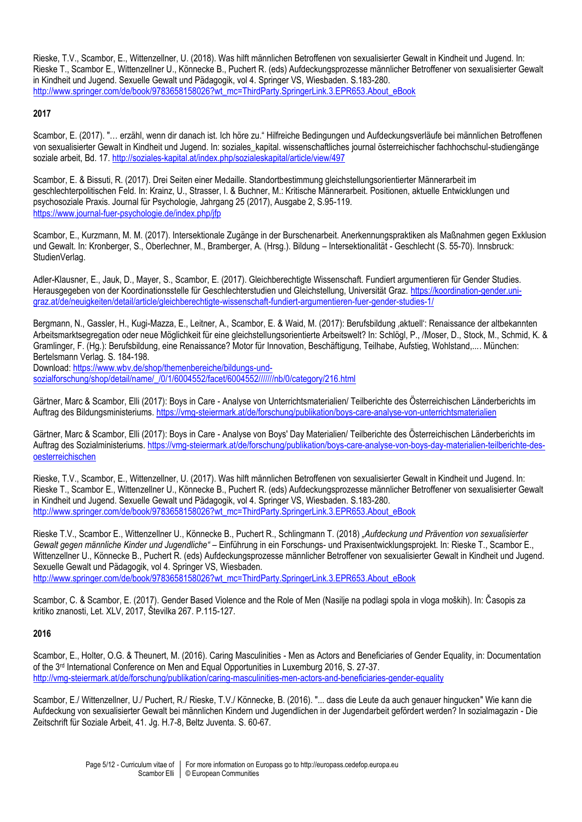Rieske, T.V., Scambor, E., Wittenzellner, U. (2018). Was hilft männlichen Betroffenen von sexualisierter Gewalt in Kindheit und Jugend. In: Rieske T., Scambor E., Wittenzellner U., Könnecke B., Puchert R. (eds) Aufdeckungsprozesse männlicher Betroffener von sexualisierter Gewalt in Kindheit und Jugend. Sexuelle Gewalt und Pädagogik, vol 4. Springer VS, Wiesbaden. S.183-280. [http://www.springer.com/de/book/9783658158026?wt\\_mc=ThirdParty.SpringerLink.3.EPR653.About\\_eBook](http://www.springer.com/de/book/9783658158026?wt_mc=ThirdParty.SpringerLink.3.EPR653.About_eBook)

#### **2017**

Scambor, E. (2017). "… erzähl, wenn dir danach ist. Ich höre zu." Hilfreiche Bedingungen und Aufdeckungsverläufe bei männlichen Betroffenen von sexualisierter Gewalt in Kindheit und Jugend. In: soziales kapital. wissenschaftliches journal österreichischer fachhochschul-studiengänge soziale arbeit, Bd. 17.<http://soziales-kapital.at/index.php/sozialeskapital/article/view/497>

Scambor, E. & Bissuti, R. (2017). Drei Seiten einer Medaille. Standortbestimmung gleichstellungsorientierter Männerarbeit im geschlechterpolitischen Feld. In: Krainz, U., Strasser, I. & Buchner, M.: Kritische Männerarbeit. Positionen, aktuelle Entwicklungen und psychosoziale Praxis. Journal für Psychologie, Jahrgang 25 (2017), Ausgabe 2, S.95-119. <https://www.journal-fuer-psychologie.de/index.php/jfp>

Scambor, E., Kurzmann, M. M. (2017). Intersektionale Zugänge in der Burschenarbeit. Anerkennungspraktiken als Maßnahmen gegen Exklusion und Gewalt. In: Kronberger, S., Oberlechner, M., Bramberger, A. (Hrsg.). Bildung – Intersektionalität - Geschlecht (S. 55-70). Innsbruck: StudienVerlag.

Adler-Klausner, E., Jauk, D., Mayer, S., Scambor, E. (2017). Gleichberechtigte Wissenschaft. Fundiert argumentieren für Gender Studies. Herausgegeben von der Koordinationsstelle für Geschlechterstudien und Gleichstellung, Universität Graz. [https://koordination-gender.uni](https://koordination-gender.uni-graz.at/de/neuigkeiten/detail/article/gleichberechtigte-wissenschaft-fundiert-argumentieren-fuer-gender-studies-1/)[graz.at/de/neuigkeiten/detail/article/gleichberechtigte-wissenschaft-fundiert-argumentieren-fuer-gender-studies-1/](https://koordination-gender.uni-graz.at/de/neuigkeiten/detail/article/gleichberechtigte-wissenschaft-fundiert-argumentieren-fuer-gender-studies-1/)

Bergmann, N., Gassler, H., Kugi-Mazza, E., Leitner, A., Scambor, E. & Waid, M. (2017): Berufsbildung ,aktuell': Renaissance der altbekannten Arbeitsmarktsegregation oder neue Möglichkeit für eine gleichstellungsorientierte Arbeitswelt? In: Schlögl, P., /Moser, D., Stock, M., Schmid, K. & Gramlinger, F. (Hg.): Berufsbildung, eine Renaissance? Motor für Innovation, Beschäftigung, Teilhabe, Aufstieg, Wohlstand,.... München: Bertelsmann Verlag. S. 184-198.

Download: [https://www.wbv.de/shop/themenbereiche/bildungs-und](https://www.wbv.de/shop/themenbereiche/bildungs-und-sozialforschung/shop/detail/name/_/0/1/6004552/facet/6004552/nb/0/category/216.html)[sozialforschung/shop/detail/name/\\_/0/1/6004552/facet/6004552///////nb/0/category/216.html](https://www.wbv.de/shop/themenbereiche/bildungs-und-sozialforschung/shop/detail/name/_/0/1/6004552/facet/6004552/nb/0/category/216.html)

Gärtner, Marc & Scambor, Elli (2017): Boys in Care - Analyse von Unterrichtsmaterialien/ Teilberichte des Österreichischen Länderberichts im Auftrag des Bildungsministeriums. <https://vmg-steiermark.at/de/forschung/publikation/boys-care-analyse-von-unterrichtsmaterialien>

Gärtner, Marc & Scambor, Elli (2017): Boys in Care - Analyse von Boys' Day Materialien/ Teilberichte des Österreichischen Länderberichts im Auftrag des Sozialministeriums. [https://vmg-steiermark.at/de/forschung/publikation/boys-care-analyse-von-boys-day-materialien-teilberichte-des](https://vmg-steiermark.at/de/forschung/publikation/boys-care-analyse-von-boys-day-materialien-teilberichte-des-oesterreichischen)[oesterreichischen](https://vmg-steiermark.at/de/forschung/publikation/boys-care-analyse-von-boys-day-materialien-teilberichte-des-oesterreichischen)

Rieske, T.V., Scambor, E., Wittenzellner, U. (2017). Was hilft männlichen Betroffenen von sexualisierter Gewalt in Kindheit und Jugend. In: Rieske T., Scambor E., Wittenzellner U., Könnecke B., Puchert R. (eds) Aufdeckungsprozesse männlicher Betroffener von sexualisierter Gewalt in Kindheit und Jugend. Sexuelle Gewalt und Pädagogik, vol 4. Springer VS, Wiesbaden. S.183-280. [http://www.springer.com/de/book/9783658158026?wt\\_mc=ThirdParty.SpringerLink.3.EPR653.About\\_eBook](http://www.springer.com/de/book/9783658158026?wt_mc=ThirdParty.SpringerLink.3.EPR653.About_eBook)

Rieske T.V., Scambor E., Wittenzellner U., Könnecke B., Puchert R., Schlingmann T. (2018) *"Aufdeckung und Prävention von sexualisierter Gewalt gegen männliche Kinder und Jugendliche"* – Einführung in ein Forschungs- und Praxisentwicklungsprojekt. In: Rieske T., Scambor E., Wittenzellner U., Könnecke B., Puchert R. (eds) Aufdeckungsprozesse männlicher Betroffener von sexualisierter Gewalt in Kindheit und Jugend. Sexuelle Gewalt und Pädagogik, vol 4. Springer VS, Wiesbaden.

[http://www.springer.com/de/book/9783658158026?wt\\_mc=ThirdParty.SpringerLink.3.EPR653.About\\_eBook](http://www.springer.com/de/book/9783658158026?wt_mc=ThirdParty.SpringerLink.3.EPR653.About_eBook)

Scambor, C. & Scambor, E. (2017). Gender Based Violence and the Role of Men (Nasilje na podlagi spola in vloga moških). In: Časopis za kritiko znanosti, Let. XLV, 2017, Številka 267. P.115-127.

# **2016**

Scambor, E., Holter, O.G. & Theunert, M. (2016). Caring Masculinities - Men as Actors and Beneficiaries of Gender Equality, in: Documentation of the 3<sup>rd</sup> International Conference on Men and Equal Opportunities in Luxemburg 2016, S. 27-37. <http://vmg-steiermark.at/de/forschung/publikation/caring-masculinities-men-actors-and-beneficiaries-gender-equality>

Scambor, E./ Wittenzellner, U./ Puchert, R./ Rieske, T.V./ Könnecke, B. (2016). "... dass die Leute da auch genauer hingucken" Wie kann die Aufdeckung von sexualisierter Gewalt bei männlichen Kindern und Jugendlichen in der Jugendarbeit gefördert werden? In sozialmagazin - Die Zeitschrift für Soziale Arbeit, 41. Jg. H.7-8, Beltz Juventa. S. 60-67.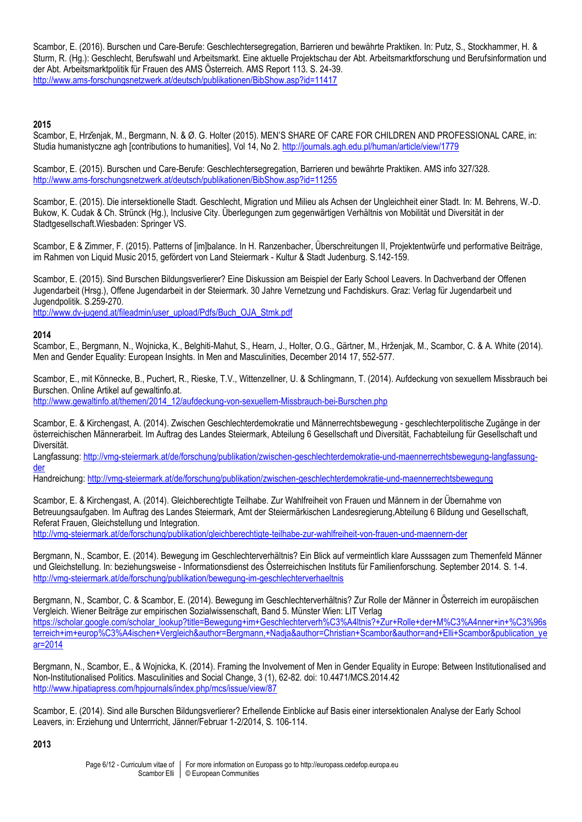Scambor, E. (2016). Burschen und Care-Berufe: Geschlechtersegregation, Barrieren und bewährte Praktiken. In: Putz, S., Stockhammer, H. & Sturm, R. (Hg.): Geschlecht, Berufswahl und Arbeitsmarkt. Eine aktuelle Projektschau der Abt. Arbeitsmarktforschung und Berufsinformation und der Abt. Arbeitsmarktpolitik für Frauen des AMS Österreich. AMS Report 113. S. 24-39. <http://www.ams-forschungsnetzwerk.at/deutsch/publikationen/BibShow.asp?id=11417>

# **2015**

Scambor, E, Hrzenjak, M., Bergmann, N. & Ø. G. Holter (2015). MEN'S SHARE OF CARE FOR CHILDREN AND PROFESSIONAL CARE, in: Studia humanistyczne agh [contributions to humanities], Vol 14, No 2. <http://journals.agh.edu.pl/human/article/view/1779>

Scambor, E. (2015). Burschen und Care-Berufe: Geschlechtersegregation, Barrieren und bewährte Praktiken. AMS info 327/328. <http://www.ams-forschungsnetzwerk.at/deutsch/publikationen/BibShow.asp?id=11255>

Scambor, E. (2015). Die intersektionelle Stadt. Geschlecht, Migration und Milieu als Achsen der Ungleichheit einer Stadt. In: M. Behrens, W.-D. Bukow, K. Cudak & Ch. Strünck (Hg.), Inclusive City. Überlegungen zum gegenwärtigen Verhältnis von Mobilität und Diversität in der Stadtgesellschaft.Wiesbaden: Springer VS.

Scambor, E & Zimmer, F. (2015). Patterns of [im]balance. In H. Ranzenbacher, Überschreitungen II, Projektentwürfe und performative Beiträge, im Rahmen von Liquid Music 2015, gefördert von Land Steiermark - Kultur & Stadt Judenburg. S.142-159.

Scambor, E. (2015). Sind Burschen Bildungsverlierer? Eine Diskussion am Beispiel der Early School Leavers. In Dachverband der Offenen Jugendarbeit (Hrsg.), Offene Jugendarbeit in der Steiermark. 30 Jahre Vernetzung und Fachdiskurs. Graz: Verlag für Jugendarbeit und Jugendpolitik. S.259-270.

[http://www.dv-jugend.at/fileadmin/user\\_upload/Pdfs/Buch\\_OJA\\_Stmk.pdf](http://www.dv-jugend.at/fileadmin/user_upload/Pdfs/Buch_OJA_Stmk.pdf)

#### **2014**

Scambor, E., Bergmann, N., Wojnicka, K., Belghiti-Mahut, S., Hearn, J., Holter, O.G., Gärtner, M., Hrženjak, M., Scambor, C. & A. White (2014). Men and Gender Equality: European Insights. In Men and Masculinities, December 2014 17, 552-577.

Scambor, E., mit Könnecke, B., Puchert, R., Rieske, T.V., Wittenzellner, U. & Schlingmann, T. (2014). Aufdeckung von sexuellem Missbrauch bei Burschen. Online Artikel auf gewaltinfo.at. [http://www.gewaltinfo.at/themen/2014\\_12/aufdeckung-von-sexuellem-Missbrauch-bei-Burschen.php](http://www.gewaltinfo.at/themen/2014_12/aufdeckung-von-sexuellem-Missbrauch-bei-Burschen.php)

Scambor, E. & Kirchengast, A. (2014). Zwischen Geschlechterdemokratie und Männerrechtsbewegung - geschlechterpolitische Zugänge in der österreichischen Männerarbeit. Im Auftrag des Landes Steiermark, Abteilung 6 Gesellschaft und Diversität, Fachabteilung für Gesellschaft und Diversität.

Langfassung[: http://vmg-steiermark.at/de/forschung/publikation/zwischen-geschlechterdemokratie-und-maennerrechtsbewegung-langfassung](http://vmg-steiermark.at/de/forschung/publikation/zwischen-geschlechterdemokratie-und-maennerrechtsbewegung-langfassung-der)[der](http://vmg-steiermark.at/de/forschung/publikation/zwischen-geschlechterdemokratie-und-maennerrechtsbewegung-langfassung-der)

Handreichung[: http://vmg-steiermark.at/de/forschung/publikation/zwischen-geschlechterdemokratie-und-maennerrechtsbewegung](http://vmg-steiermark.at/de/forschung/publikation/zwischen-geschlechterdemokratie-und-maennerrechtsbewegung)

Scambor, E. & Kirchengast, A. (2014). Gleichberechtigte Teilhabe. Zur Wahlfreiheit von Frauen und Männern in der Übernahme von Betreuungsaufgaben. Im Auftrag des Landes Steiermark, Amt der Steiermärkischen Landesregierung,Abteilung 6 Bildung und Gesellschaft, Referat Frauen, Gleichstellung und Integration.

<http://vmg-steiermark.at/de/forschung/publikation/gleichberechtigte-teilhabe-zur-wahlfreiheit-von-frauen-und-maennern-der>

Bergmann, N., Scambor, E. (2014). Bewegung im Geschlechterverhältnis? Ein Blick auf vermeintlich klare Ausssagen zum Themenfeld Männer und Gleichstellung. In: beziehungsweise - Informationsdienst des Österreichischen Instituts für Familienforschung. September 2014. S. 1-4. <http://vmg-steiermark.at/de/forschung/publikation/bewegung-im-geschlechterverhaeltnis>

Bergmann, N., Scambor, C. & Scambor, E. (2014). Bewegung im Geschlechterverhältnis? Zur Rolle der Männer in Österreich im europäischen Vergleich. Wiener Beiträge zur empirischen Sozialwissenschaft, Band 5. Münster Wien: LIT Verlag [https://scholar.google.com/scholar\\_lookup?title=Bewegung+im+Geschlechterverh%C3%A4ltnis?+Zur+Rolle+der+M%C3%A4nner+in+%C3%96s](https://scholar.google.com/scholar_lookup?title=Bewegung+im+Geschlechterverh%C3%A4ltnis?+Zur+Rolle+der+M%C3%A4nner+in+%C3%96sterreich+im+europ%C3%A4ischen+Vergleich&author=Bergmann,+Nadja&author=Christian+Scambor&author=and+Elli+Scambor&publication_year=2014) [terreich+im+europ%C3%A4ischen+Vergleich&author=Bergmann,+Nadja&author=Christian+Scambor&author=and+Elli+Scambor&publication\\_ye](https://scholar.google.com/scholar_lookup?title=Bewegung+im+Geschlechterverh%C3%A4ltnis?+Zur+Rolle+der+M%C3%A4nner+in+%C3%96sterreich+im+europ%C3%A4ischen+Vergleich&author=Bergmann,+Nadja&author=Christian+Scambor&author=and+Elli+Scambor&publication_year=2014) [ar=2014](https://scholar.google.com/scholar_lookup?title=Bewegung+im+Geschlechterverh%C3%A4ltnis?+Zur+Rolle+der+M%C3%A4nner+in+%C3%96sterreich+im+europ%C3%A4ischen+Vergleich&author=Bergmann,+Nadja&author=Christian+Scambor&author=and+Elli+Scambor&publication_year=2014)

Bergmann, N., Scambor, E., & Wojnicka, K. (2014). Framing the Involvement of Men in Gender Equality in Europe: Between Institutionalised and Non-Institutionalised Politics. Masculinities and Social Change, 3 (1), 62-82. doi: 10.4471/MCS.2014.42 <http://www.hipatiapress.com/hpjournals/index.php/mcs/issue/view/87>

Scambor, E. (2014). Sind alle Burschen Bildungsverlierer? Erhellende Einblicke auf Basis einer intersektionalen Analyse der Early School Leavers, in: Erziehung und Unterrricht, Jänner/Februar 1-2/2014, S. 106-114.

#### **2013**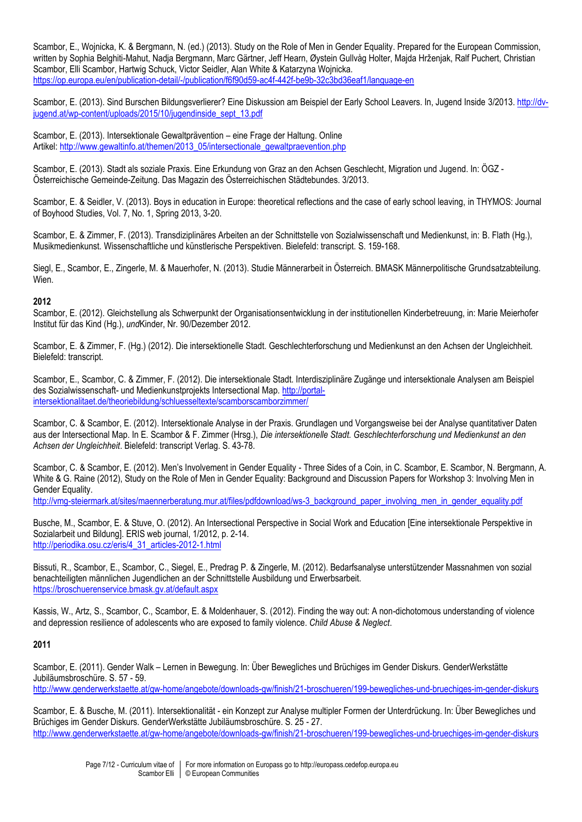Scambor, E., Wojnicka, K. & Bergmann, N. (ed.) (2013). Study on the Role of Men in Gender Equality. Prepared for the European Commission, written by Sophia Belghiti-Mahut, Nadja Bergmann, Marc Gärtner, Jeff Hearn, Øystein Gullvåg Holter, Majda Hrženjak, Ralf Puchert, Christian Scambor, Elli Scambor, Hartwig Schuck, Victor Seidler, Alan White & Katarzyna Wojnicka. <https://op.europa.eu/en/publication-detail/-/publication/f6f90d59-ac4f-442f-be9b-32c3bd36eaf1/language-en>

Scambor, E. (2013). Sind Burschen Bildungsverlierer? Eine Diskussion am Beispiel der Early School Leavers. In, Jugend Inside 3/2013. [http://dv](http://dv-jugend.at/wp-content/uploads/2015/10/jugendinside_sept_13.pdf)[jugend.at/wp-content/uploads/2015/10/jugendinside\\_sept\\_13.pdf](http://dv-jugend.at/wp-content/uploads/2015/10/jugendinside_sept_13.pdf)

Scambor, E. (2013). Intersektionale Gewaltprävention – eine Frage der Haltung. Online Artikel: [http://www.gewaltinfo.at/themen/2013\\_05/intersectionale\\_gewaltpraevention.php](http://www.gewaltinfo.at/themen/2013_05/intersectionale_gewaltpraevention.php)

Scambor, E. (2013). Stadt als soziale Praxis. Eine Erkundung von Graz an den Achsen Geschlecht, Migration und Jugend. In: ÖGZ - Österreichische Gemeinde-Zeitung. Das Magazin des Österreichischen Städtebundes. 3/2013.

Scambor, E. & Seidler, V. (2013). Boys in education in Europe: theoretical reflections and the case of early school leaving, in THYMOS: Journal of Boyhood Studies, Vol. 7, No. 1, Spring 2013, 3-20.

Scambor, E. & Zimmer, F. (2013). Transdiziplinäres Arbeiten an der Schnittstelle von Sozialwissenschaft und Medienkunst, in: B. Flath (Hg.), Musikmedienkunst. Wissenschaftliche und künstlerische Perspektiven. Bielefeld: transcript. S. 159-168.

Siegl, E., Scambor, E., Zingerle, M. & Mauerhofer, N. (2013). Studie Männerarbeit in Österreich. BMASK Männerpolitische Grundsatzabteilung. Wien.

#### **2012**

Scambor, E. (2012). Gleichstellung als Schwerpunkt der Organisationsentwicklung in der institutionellen Kinderbetreuung, in: Marie Meierhofer Institut für das Kind (Hg.), *und*Kinder, Nr. 90/Dezember 2012.

Scambor, E. & Zimmer, F. (Hg.) (2012). Die intersektionelle Stadt. Geschlechterforschung und Medienkunst an den Achsen der Ungleichheit. Bielefeld: transcript.

Scambor, E., Scambor, C. & Zimmer, F. (2012). Die intersektionale Stadt. Interdisziplinäre Zugänge und intersektionale Analysen am Beispiel des Sozialwissenschaft- und Medienkunstprojekts Intersectional Map. [http://portal](http://portal-intersektionalitaet.de/theoriebildung/schluesseltexte/scamborscamborzimmer/)[intersektionalitaet.de/theoriebildung/schluesseltexte/scamborscamborzimmer/](http://portal-intersektionalitaet.de/theoriebildung/schluesseltexte/scamborscamborzimmer/)

Scambor, C. & Scambor, E. (2012). Intersektionale Analyse in der Praxis. Grundlagen und Vorgangsweise bei der Analyse quantitativer Daten aus der Intersectional Map. In E. Scambor & F. Zimmer (Hrsg.), *Die intersektionelle Stadt. Geschlechterforschung und Medienkunst an den Achsen der Ungleichheit*. Bielefeld: transcript Verlag. S. 43-78.

Scambor, C. & Scambor, E. (2012). Men's Involvement in Gender Equality - Three Sides of a Coin, in C. Scambor, E. Scambor, N. Bergmann, A. White & G. Raine (2012), Study on the Role of Men in Gender Equality: Background and Discussion Papers for Workshop 3: Involving Men in Gender Equality.

[http://vmg-steiermark.at/sites/maennerberatung.mur.at/files/pdfdownload/ws-3\\_background\\_paper\\_involving\\_men\\_in\\_gender\\_equality.pdf](http://vmg-steiermark.at/sites/maennerberatung.mur.at/files/pdfdownload/ws-3_background_paper_involving_men_in_gender_equality.pdf)

Busche, M., Scambor, E. & Stuve, O. (2012). An Intersectional Perspective in Social Work and Education [Eine intersektionale Perspektive in Sozialarbeit und Bildung]. ERIS web journal, 1/2012, p. 2-14. [http://periodika.osu.cz/eris/4\\_31\\_articles-2012-1.html](http://periodika.osu.cz/eris/4_31_articles-2012-1.html)

Bissuti, R., Scambor, E., Scambor, C., Siegel, E., Predrag P. & Zingerle, M. (2012). Bedarfsanalyse unterstützender Massnahmen von sozial benachteiligten männlichen Jugendlichen an der Schnittstelle Ausbildung und Erwerbsarbeit. <https://broschuerenservice.bmask.gv.at/default.aspx>

Kassis, W., Artz, S., Scambor, C., Scambor, E. & Moldenhauer, S. (2012). Finding the way out: A non-dichotomous understanding of violence and depression resilience of adolescents who are exposed to family violence. *Child Abuse & Neglect*.

#### **2011**

Scambor, E. (2011). Gender Walk – Lernen in Bewegung. In: Über Bewegliches und Brüchiges im Gender Diskurs. GenderWerkstätte Jubiläumsbroschüre. S. 57 - 59.

<http://www.genderwerkstaette.at/gw-home/angebote/downloads-gw/finish/21-broschueren/199-bewegliches-und-bruechiges-im-gender-diskurs>

Scambor, E. & Busche, M. (2011). Intersektionalität - ein Konzept zur Analyse multipler Formen der Unterdrückung. In: Über Bewegliches und Brüchiges im Gender Diskurs. GenderWerkstätte Jubiläumsbroschüre. S. 25 - 27. <http://www.genderwerkstaette.at/gw-home/angebote/downloads-gw/finish/21-broschueren/199-bewegliches-und-bruechiges-im-gender-diskurs>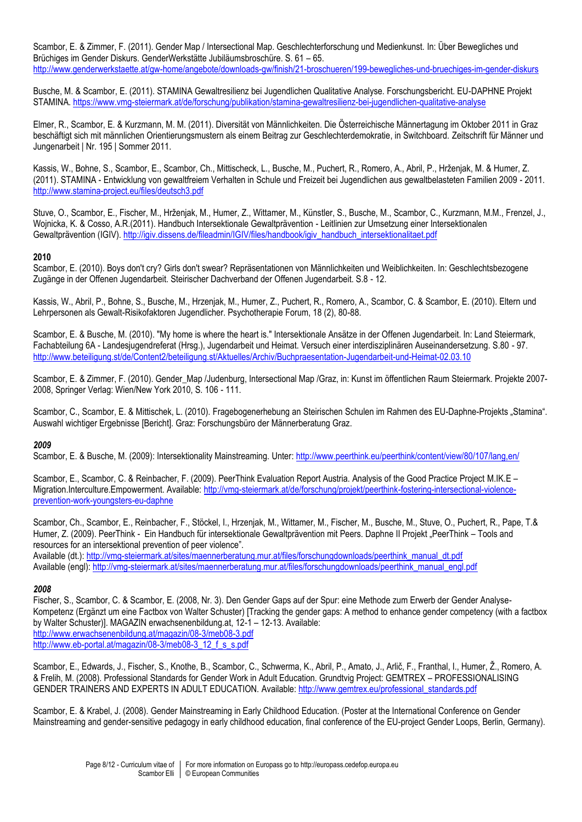Scambor, E. & Zimmer, F. (2011). Gender Map / Intersectional Map. Geschlechterforschung und Medienkunst. In: Über Bewegliches und Brüchiges im Gender Diskurs. GenderWerkstätte Jubiläumsbroschüre. S. 61 – 65. <http://www.genderwerkstaette.at/gw-home/angebote/downloads-gw/finish/21-broschueren/199-bewegliches-und-bruechiges-im-gender-diskurs>

Busche, M. & Scambor, E. (2011). STAMINA Gewaltresilienz bei Jugendlichen Qualitative Analyse. Forschungsbericht. EU-DAPHNE Projekt STAMINA. <https://www.vmg-steiermark.at/de/forschung/publikation/stamina-gewaltresilienz-bei-jugendlichen-qualitative-analyse>

Elmer, R., Scambor, E. & Kurzmann, M. M. (2011). Diversität von Männlichkeiten. Die Österreichische Männertagung im Oktober 2011 in Graz beschäftigt sich mit männlichen Orientierungsmustern als einem Beitrag zur Geschlechterdemokratie, in Switchboard. Zeitschrift für Männer und Jungenarbeit | Nr. 195 | Sommer 2011.

Kassis, W., Bohne, S., Scambor, E., Scambor, Ch., Mittischeck, L., Busche, M., Puchert, R., Romero, A., Abril, P., Hrženjak, M. & Humer, Z. (2011). STAMINA - Entwicklung von gewaltfreiem Verhalten in Schule und Freizeit bei Jugendlichen aus gewaltbelasteten Familien 2009 - 2011. <http://www.stamina-project.eu/files/deutsch3.pdf>

Stuve, O., Scambor, E., Fischer, M., Hrženjak, M., Humer, Z., Wittamer, M., Künstler, S., Busche, M., Scambor, C., Kurzmann, M.M., Frenzel, J., Wojnicka, K. & Cosso, A.R.(2011). Handbuch Intersektionale Gewaltprävention - Leitlinien zur Umsetzung einer Intersektionalen Gewaltprävention (IGIV). [http://igiv.dissens.de/fileadmin/IGIV/files/handbook/igiv\\_handbuch\\_intersektionalitaet.pdf](http://igiv.dissens.de/fileadmin/IGIV/files/handbook/igiv_handbuch_intersektionalitaet.pdf)

# **2010**

Scambor, E. (2010). Boys don't cry? Girls don't swear? Repräsentationen von Männlichkeiten und Weiblichkeiten. In: Geschlechtsbezogene Zugänge in der Offenen Jugendarbeit. Steirischer Dachverband der Offenen Jugendarbeit. S.8 - 12.

Kassis, W., Abril, P., Bohne, S., Busche, M., Hrzenjak, M., Humer, Z., Puchert, R., Romero, A., Scambor, C. & Scambor, E. (2010). Eltern und Lehrpersonen als Gewalt-Risikofaktoren Jugendlicher. Psychotherapie Forum, 18 (2), 80-88.

Scambor, E. & Busche, M. (2010). "My home is where the heart is." Intersektionale Ansätze in der Offenen Jugendarbeit. In: Land Steiermark, Fachabteilung 6A - Landesjugendreferat (Hrsg.), Jugendarbeit und Heimat. Versuch einer interdisziplinären Auseinandersetzung. S.80 - 97. <http://www.beteiligung.st/de/Content2/beteiligung.st/Aktuelles/Archiv/Buchpraesentation-Jugendarbeit-und-Heimat-02.03.10>

Scambor, E. & Zimmer, F. (2010). Gender\_Map /Judenburg, Intersectional Map /Graz, in: Kunst im öffentlichen Raum Steiermark. Projekte 2007- 2008, Springer Verlag: Wien/New York 2010, S. 106 - 111.

Scambor, C., Scambor, E. & Mittischek, L. (2010). Fragebogenerhebung an Steirischen Schulen im Rahmen des EU-Daphne-Projekts "Stamina". Auswahl wichtiger Ergebnisse [Bericht]. Graz: Forschungsbüro der Männerberatung Graz.

# *2009*

Scambor, E. & Busche, M. (2009): Intersektionality Mainstreaming. Unter:<http://www.peerthink.eu/peerthink/content/view/80/107/lang,en/>

Scambor, E., Scambor, C. & Reinbacher, F. (2009). PeerThink Evaluation Report Austria. Analysis of the Good Practice Project M.IK.E – Migration.Interculture.Empowerment. Available[: http://vmg-steiermark.at/de/forschung/projekt/peerthink-fostering-intersectional-violence](http://vmg-steiermark.at/de/forschung/projekt/peerthink-fostering-intersectional-violence-prevention-work-youngsters-eu-daphne)[prevention-work-youngsters-eu-daphne](http://vmg-steiermark.at/de/forschung/projekt/peerthink-fostering-intersectional-violence-prevention-work-youngsters-eu-daphne)

Scambor, Ch., Scambor, E., Reinbacher, F., Stöckel, I., Hrzenjak, M., Wittamer, M., Fischer, M., Busche, M., Stuve, O., Puchert, R., Pape, T.& Humer, Z. (2009). PeerThink - Ein Handbuch für intersektionale Gewaltprävention mit Peers. Daphne II Projekt "PeerThink – Tools and resources for an intersektional prevention of peer violence". Available (dt.)[: http://vmg-steiermark.at/sites/maennerberatung.mur.at/files/forschungdownloads/peerthink\\_manual\\_dt.pdf](http://vmg-steiermark.at/sites/maennerberatung.mur.at/files/forschungdownloads/peerthink_manual_dt.pdf)

Available (engl): [http://vmg-steiermark.at/sites/maennerberatung.mur.at/files/forschungdownloads/peerthink\\_manual\\_engl.pdf](http://vmg-steiermark.at/sites/maennerberatung.mur.at/files/forschungdownloads/peerthink_manual_engl.pdf)

# *2008*

Fischer, S., Scambor, C. & Scambor, E. (2008, Nr. 3). Den Gender Gaps auf der Spur: eine Methode zum Erwerb der Gender Analyse-Kompetenz (Ergänzt um eine Factbox von Walter Schuster) [Tracking the gender gaps: A method to enhance gender competency (with a factbox by Walter Schuster)]. MAGAZIN erwachsenenbildung.at, 12-1 – 12-13. Available: <http://www.erwachsenenbildung.at/magazin/08-3/meb08-3.pdf> http://www.eb-portal.at/magazin/08-3/meb08-3\_12\_f\_s\_s.pdf

Scambor, E., Edwards, J., Fischer, S., Knothe, B., Scambor, C., Schwerma, K., Abril, P., Amato, J., Arlič, F., Franthal, I., Humer, Ž., Romero, A. & Frelih, M. (2008). Professional Standards for Gender Work in Adult Education. Grundtvig Project: GEMTREX – PROFESSIONALISING GENDER TRAINERS AND EXPERTS IN ADULT EDUCATION. Available[: http://www.gemtrex.eu/professional\\_standards.pdf](http://www.gemtrex.eu/professional_standards.pdf)

Scambor, E. & Krabel, J. (2008). Gender Mainstreaming in Early Childhood Education. (Poster at the International Conference on Gender Mainstreaming and gender-sensitive pedagogy in early childhood education, final conference of the EU-project Gender Loops, Berlin, Germany).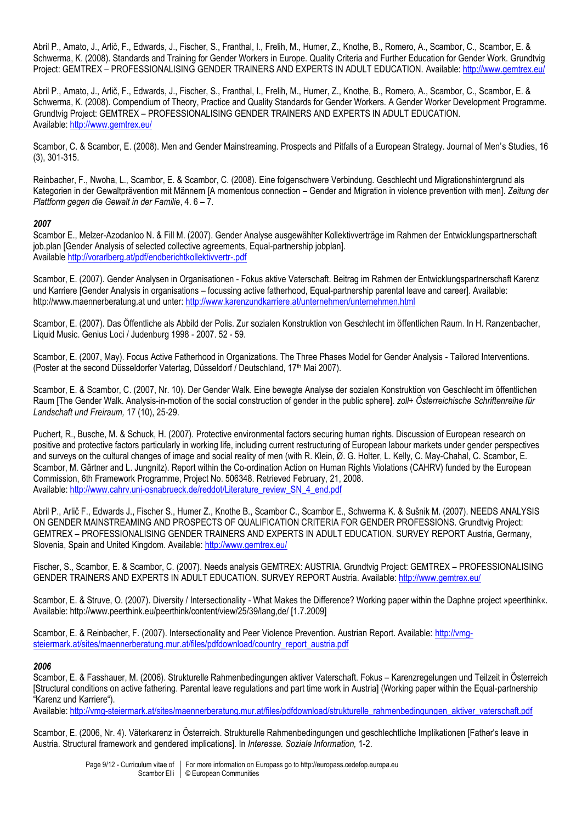Abril P., Amato, J., Arlič, F., Edwards, J., Fischer, S., Franthal, I., Frelih, M., Humer, Z., Knothe, B., Romero, A., Scambor, C., Scambor, E. & Schwerma, K. (2008). Standards and Training for Gender Workers in Europe. Quality Criteria and Further Education for Gender Work. Grundtvig Project: GEMTREX – PROFESSIONALISING GENDER TRAINERS AND EXPERTS IN ADULT EDUCATION. Available[: http://www.gemtrex.eu/](http://www.gemtrex.eu/)

Abril P., Amato, J., Arlič, F., Edwards, J., Fischer, S., Franthal, I., Frelih, M., Humer, Z., Knothe, B., Romero, A., Scambor, C., Scambor, E. & Schwerma, K. (2008). Compendium of Theory, Practice and Quality Standards for Gender Workers. A Gender Worker Development Programme. Grundtvig Project: GEMTREX – PROFESSIONALISING GENDER TRAINERS AND EXPERTS IN ADULT EDUCATION. Available:<http://www.gemtrex.eu/>

Scambor, C. & Scambor, E. (2008). Men and Gender Mainstreaming. Prospects and Pitfalls of a European Strategy. Journal of Men's Studies, 16 (3), 301-315.

Reinbacher, F., Nwoha, L., Scambor, E. & Scambor, C. (2008). Eine folgenschwere Verbindung. Geschlecht und Migrationshintergrund als Kategorien in der Gewaltprävention mit Männern [A momentous connection – Gender and Migration in violence prevention with men]. *Zeitung der Plattform gegen die Gewalt in der Familie*, 4. 6 – 7.

# *2007*

Scambor E., Melzer-Azodanloo N. & Fill M. (2007). Gender Analyse ausgewählter Kollektivverträge im Rahmen der Entwicklungspartnerschaft job.plan [Gender Analysis of selected collective agreements, Equal-partnership jobplan]. Available <http://vorarlberg.at/pdf/endberichtkollektivvertr-.pdf>

Scambor, E. (2007). Gender Analysen in Organisationen - Fokus aktive Vaterschaft. Beitrag im Rahmen der Entwicklungspartnerschaft Karenz und Karriere [Gender Analysis in organisations – focussing active fatherhood, Equal-partnership parental leave and career]. Available: http://www.maennerberatung.at und unter:<http://www.karenzundkarriere.at/unternehmen/unternehmen.html>

Scambor, E. (2007). Das Öffentliche als Abbild der Polis. Zur sozialen Konstruktion von Geschlecht im öffentlichen Raum. In H. Ranzenbacher, Liquid Music. Genius Loci / Judenburg 1998 - 2007. 52 - 59.

Scambor, E. (2007, May). Focus Active Fatherhood in Organizations. The Three Phases Model for Gender Analysis - Tailored Interventions. (Poster at the second Düsseldorfer Vatertag, Düsseldorf / Deutschland, 17th Mai 2007).

Scambor, E. & Scambor, C. (2007, Nr. 10). Der Gender Walk. Eine bewegte Analyse der sozialen Konstruktion von Geschlecht im öffentlichen Raum [The Gender Walk. Analysis-in-motion of the social construction of gender in the public sphere]. *zoll+ Österreichische Schriftenreihe für Landschaft und Freiraum,* 17 (10), 25-29.

Puchert, R., Busche, M. & Schuck, H. (2007). Protective environmental factors securing human rights. Discussion of European research on positive and protective factors particularly in working life, including current restructuring of European labour markets under gender perspectives and surveys on the cultural changes of image and social reality of men (with R. Klein, Ø. G. Holter, L. Kelly, C. May-Chahal, C. Scambor, E. Scambor, M. Gärtner and L. Jungnitz). Report within the Co-ordination Action on Human Rights Violations (CAHRV) funded by the European Commission, 6th Framework Programme, Project No. 506348. Retrieved February, 21, 2008. Available: [http://www.cahrv.uni-osnabrueck.de/reddot/Literature\\_review\\_SN\\_4\\_end.pdf](http://www.cahrv.uni-osnabrueck.de/reddot/Literature_review_SN_4_end.pdf)

Abril P., Arlič F., Edwards J., Fischer S., Humer Z., Knothe B., Scambor C., Scambor E., Schwerma K. & Sušnik M. (2007). NEEDS ANALYSIS ON GENDER MAINSTREAMING AND PROSPECTS OF QUALIFICATION CRITERIA FOR GENDER PROFESSIONS. Grundtvig Project: GEMTREX – PROFESSIONALISING GENDER TRAINERS AND EXPERTS IN ADULT EDUCATION. SURVEY REPORT Austria, Germany, Slovenia, Spain and United Kingdom. Available:<http://www.gemtrex.eu/>

Fischer, S., Scambor, E. & Scambor, C. (2007). Needs analysis GEMTREX: AUSTRIA. Grundtvig Project: GEMTREX – PROFESSIONALISING GENDER TRAINERS AND EXPERTS IN ADULT EDUCATION. SURVEY REPORT Austria. Available:<http://www.gemtrex.eu/>

Scambor, E. & Struve, O. (2007). Diversity / Intersectionality - What Makes the Difference? Working paper within the Daphne project »peerthink«. Available: http://www.peerthink.eu/peerthink/content/view/25/39/lang,de/ [1.7.2009]

Scambor, E. & Reinbacher, F. (2007). Intersectionality and Peer Violence Prevention. Austrian Report. Available: [http://vmg](http://vmg-steiermark.at/sites/maennerberatung.mur.at/files/pdfdownload/country_report_austria.pdf)[steiermark.at/sites/maennerberatung.mur.at/files/pdfdownload/country\\_report\\_austria.pdf](http://vmg-steiermark.at/sites/maennerberatung.mur.at/files/pdfdownload/country_report_austria.pdf)

#### *2006*

Scambor, E. & Fasshauer, M. (2006). Strukturelle Rahmenbedingungen aktiver Vaterschaft. Fokus – Karenzregelungen und Teilzeit in Österreich [Structural conditions on active fathering. Parental leave regulations and part time work in Austria] (Working paper within the Equal-partnership "Karenz und Karriere").

Available: [http://vmg-steiermark.at/sites/maennerberatung.mur.at/files/pdfdownload/strukturelle\\_rahmenbedingungen\\_aktiver\\_vaterschaft.pdf](http://vmg-steiermark.at/sites/maennerberatung.mur.at/files/pdfdownload/strukturelle_rahmenbedingungen_aktiver_vaterschaft.pdf)

Scambor, E. (2006, Nr. 4). Väterkarenz in Österreich. Strukturelle Rahmenbedingungen und geschlechtliche Implikationen [Father's leave in Austria. Structural framework and gendered implications]. In *Interesse. Soziale Information,* 1-2.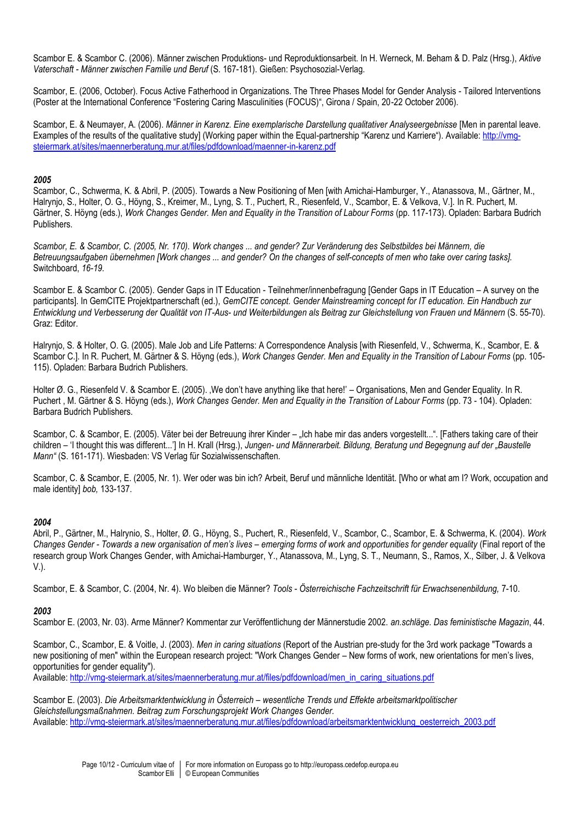Scambor E. & Scambor C. (2006). Männer zwischen Produktions- und Reproduktionsarbeit. In H. Werneck, M. Beham & D. Palz (Hrsg.), *Aktive Vaterschaft - Männer zwischen Familie und Beruf* (S. 167-181). Gießen: Psychosozial-Verlag.

Scambor, E. (2006, October). Focus Active Fatherhood in Organizations. The Three Phases Model for Gender Analysis - Tailored Interventions (Poster at the International Conference "Fostering Caring Masculinities (FOCUS)", Girona / Spain, 20-22 October 2006).

Scambor, E. & Neumayer, A. (2006). *Männer in Karenz. Eine exemplarische Darstellung qualitativer Analyseergebnisse* [Men in parental leave. Examples of the results of the qualitative study] (Working paper within the Equal-partnership "Karenz und Karriere"). Available: [http://vmg](http://vmg-steiermark.at/sites/maennerberatung.mur.at/files/pdfdownload/maenner-in-karenz.pdf)[steiermark.at/sites/maennerberatung.mur.at/files/pdfdownload/maenner-in-karenz.pdf](http://vmg-steiermark.at/sites/maennerberatung.mur.at/files/pdfdownload/maenner-in-karenz.pdf)

# *2005*

Scambor, C., Schwerma, K. & Abril, P. (2005). Towards a New Positioning of Men [with Amichai-Hamburger, Y., Atanassova, M., Gärtner, M., Halrynjo, S., Holter, O. G., Höyng, S., Kreimer, M., Lyng, S. T., Puchert, R., Riesenfeld, V., Scambor, E. & Velkova, V.]. In R. Puchert, M. Gärtner, S. Höyng (eds.), *Work Changes Gender. Men and Equality in the Transition of Labour Forms* (pp. 117-173). Opladen: Barbara Budrich Publishers.

*Scambor, E. & Scambor, C. (2005, Nr. 170). Work changes ... and gender? Zur Veränderung des Selbstbildes bei Männern, die Betreuungsaufgaben übernehmen [Work changes ... and gender? On the changes of self-concepts of men who take over caring tasks].*  Switchboard, *16-19.*

Scambor E. & Scambor C. (2005). Gender Gaps in IT Education - Teilnehmer/innenbefragung [Gender Gaps in IT Education – A survey on the participants]. In GemCITE Projektpartnerschaft (ed.), *GemCITE concept. Gender Mainstreaming concept for IT education. Ein Handbuch zur Entwicklung und Verbesserung der Qualität von IT-Aus- und Weiterbildungen als Beitrag zur Gleichstellung von Frauen und Männern* (S. 55-70). Graz: Editor.

Halrynjo, S. & Holter, O. G. (2005). Male Job and Life Patterns: A Correspondence Analysis [with Riesenfeld, V., Schwerma, K., Scambor, E. & Scambor C.]. In R. Puchert, M. Gärtner & S. Höyng (eds.), *Work Changes Gender. Men and Equality in the Transition of Labour Forms* (pp. 105- 115). Opladen: Barbara Budrich Publishers.

Holter Ø. G., Riesenfeld V. & Scambor E. (2005). We don't have anything like that here!' – Organisations, Men and Gender Equality. In R. Puchert, M. Gärtner & S. Höyng (eds.), *Work Changes Gender. Men and Equality in the Transition of Labour Forms (pp. 73 - 104). Opladen:* Barbara Budrich Publishers.

Scambor, C. & Scambor, E. (2005). Väter bei der Betreuung ihrer Kinder – "Ich habe mir das anders vorgestellt...". [Fathers taking care of their children – 'I thought this was different...'] In H. Krall (Hrsg.), *Jungen- und Männerarbeit. Bildung, Beratung und Begegnung auf der "Baustelle Mann"* (S. 161-171). Wiesbaden: VS Verlag für Sozialwissenschaften.

Scambor, C. & Scambor, E. (2005, Nr. 1). Wer oder was bin ich? Arbeit, Beruf und männliche Identität. [Who or what am I? Work, occupation and male identity] *bob,* 133-137.

#### *2004*

Abril, P., Gärtner, M., Halrynio, S., Holter, Ø. G., Höyng, S., Puchert, R., Riesenfeld, V., Scambor, C., Scambor, E. & Schwerma, K. (2004). *Work Changes Gender - Towards a new organisation of men's lives – emerging forms of work and opportunities for gender equality* (Final report of the research group Work Changes Gender, with Amichai-Hamburger, Y., Atanassova, M., Lyng, S. T., Neumann, S., Ramos, X., Silber, J. & Velkova V.).

Scambor, E. & Scambor, C. (2004, Nr. 4). Wo bleiben die Männer? *Tools - Österreichische Fachzeitschrift für Erwachsenenbildung,* 7-10.

#### *2003*

Scambor E. (2003, Nr. 03). Arme Männer? Kommentar zur Veröffentlichung der Männerstudie 2002. *an.schläge. Das feministische Magazin*, 44.

Scambor, C., Scambor, E. & Voitle, J. (2003). *Men in caring situations* (Report of the Austrian pre-study for the 3rd work package "Towards a new positioning of men" within the European research project: "Work Changes Gender – New forms of work, new orientations for men's lives, opportunities for gender equality").

Available: [http://vmg-steiermark.at/sites/maennerberatung.mur.at/files/pdfdownload/men\\_in\\_caring\\_situations.pdf](http://vmg-steiermark.at/sites/maennerberatung.mur.at/files/pdfdownload/men_in_caring_situations.pdf)

Scambor E. (2003). *Die Arbeitsmarktentwicklung in Österreich – wesentliche Trends und Effekte arbeitsmarktpolitischer Gleichstellungsmaßnahmen. Beitrag zum Forschungsprojekt Work Changes Gender.* Available: [http://vmg-steiermark.at/sites/maennerberatung.mur.at/files/pdfdownload/arbeitsmarktentwicklung\\_oesterreich\\_2003.pdf](http://vmg-steiermark.at/sites/maennerberatung.mur.at/files/pdfdownload/arbeitsmarktentwicklung_oesterreich_2003.pdf)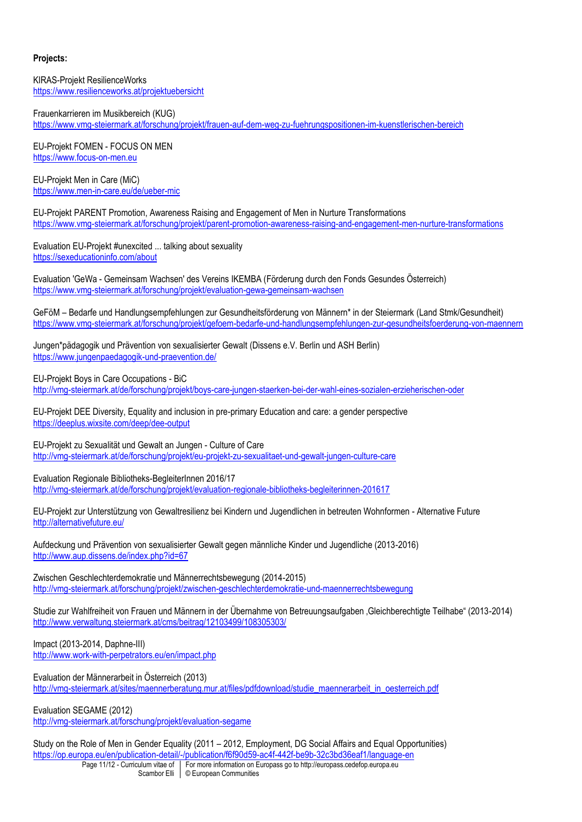# **Projects:**

KIRAS-Projekt ResilienceWorks <https://www.resilienceworks.at/projektuebersicht>

Frauenkarrieren im Musikbereich (KUG) <https://www.vmg-steiermark.at/forschung/projekt/frauen-auf-dem-weg-zu-fuehrungspositionen-im-kuenstlerischen-bereich>

EU-Projekt FOMEN - FOCUS ON MEN [https://www.focus-on-men.eu](https://www.focus-on-men.eu/)

EU-Projekt Men in Care (MiC) <https://www.men-in-care.eu/de/ueber-mic>

EU-Projekt PARENT Promotion, Awareness Raising and Engagement of Men in Nurture Transformations <https://www.vmg-steiermark.at/forschung/projekt/parent-promotion-awareness-raising-and-engagement-men-nurture-transformations>

Evaluation EU-Projekt #unexcited ... talking about sexuality <https://sexeducationinfo.com/about>

Evaluation 'GeWa - Gemeinsam Wachsen' des Vereins IKEMBA (Förderung durch den Fonds Gesundes Österreich) <https://www.vmg-steiermark.at/forschung/projekt/evaluation-gewa-gemeinsam-wachsen>

GeFöM – Bedarfe und Handlungsempfehlungen zur Gesundheitsförderung von Männern\* in der Steiermark (Land Stmk/Gesundheit) <https://www.vmg-steiermark.at/forschung/projekt/gefoem-bedarfe-und-handlungsempfehlungen-zur-gesundheitsfoerderung-von-maennern>

Jungen\*pädagogik und Prävention von sexualisierter Gewalt (Dissens e.V. Berlin und ASH Berlin) <https://www.jungenpaedagogik-und-praevention.de/>

EU-Projekt Boys in Care Occupations - BiC <http://vmg-steiermark.at/de/forschung/projekt/boys-care-jungen-staerken-bei-der-wahl-eines-sozialen-erzieherischen-oder>

EU-Projekt DEE Diversity, Equality and inclusion in pre-primary Education and care: a gender perspective <https://deeplus.wixsite.com/deep/dee-output>

EU-Projekt zu Sexualität und Gewalt an Jungen - Culture of Care <http://vmg-steiermark.at/de/forschung/projekt/eu-projekt-zu-sexualitaet-und-gewalt-jungen-culture-care>

Evaluation Regionale Bibliotheks-BegleiterInnen 2016/17 <http://vmg-steiermark.at/de/forschung/projekt/evaluation-regionale-bibliotheks-begleiterinnen-201617>

EU-Projekt zur Unterstützung von Gewaltresilienz bei Kindern und Jugendlichen in betreuten Wohnformen - Alternative Future <http://alternativefuture.eu/>

Aufdeckung und Prävention von sexualisierter Gewalt gegen männliche Kinder und Jugendliche (2013-2016) <http://www.aup.dissens.de/index.php?id=67>

Zwischen Geschlechterdemokratie und Männerrechtsbewegung (2014-2015) <http://vmg-steiermark.at/forschung/projekt/zwischen-geschlechterdemokratie-und-maennerrechtsbewegung>

Studie zur Wahlfreiheit von Frauen und Männern in der Übernahme von Betreuungsaufgaben 'Gleichberechtigte Teilhabe" (2013-2014) <http://www.verwaltung.steiermark.at/cms/beitrag/12103499/108305303/>

Impact (2013-2014, Daphne-III) <http://www.work-with-perpetrators.eu/en/impact.php>

Evaluation der Männerarbeit in Österreich (2013) [http://vmg-steiermark.at/sites/maennerberatung.mur.at/files/pdfdownload/studie\\_maennerarbeit\\_in\\_oesterreich.pdf](http://vmg-steiermark.at/sites/maennerberatung.mur.at/files/pdfdownload/studie_maennerarbeit_in_oesterreich.pdf)

Evaluation SEGAME (2012) <http://vmg-steiermark.at/forschung/projekt/evaluation-segame>

Page 11/12 - Curriculum vitae of | For more information on Europass go to http://europass.cedefop.europa.eu Study on the Role of Men in Gender Equality (2011 – 2012, Employment, DG Social Affairs and Equal Opportunities) <https://op.europa.eu/en/publication-detail/-/publication/f6f90d59-ac4f-442f-be9b-32c3bd36eaf1/language-en>

Scambor Elli © European Communities